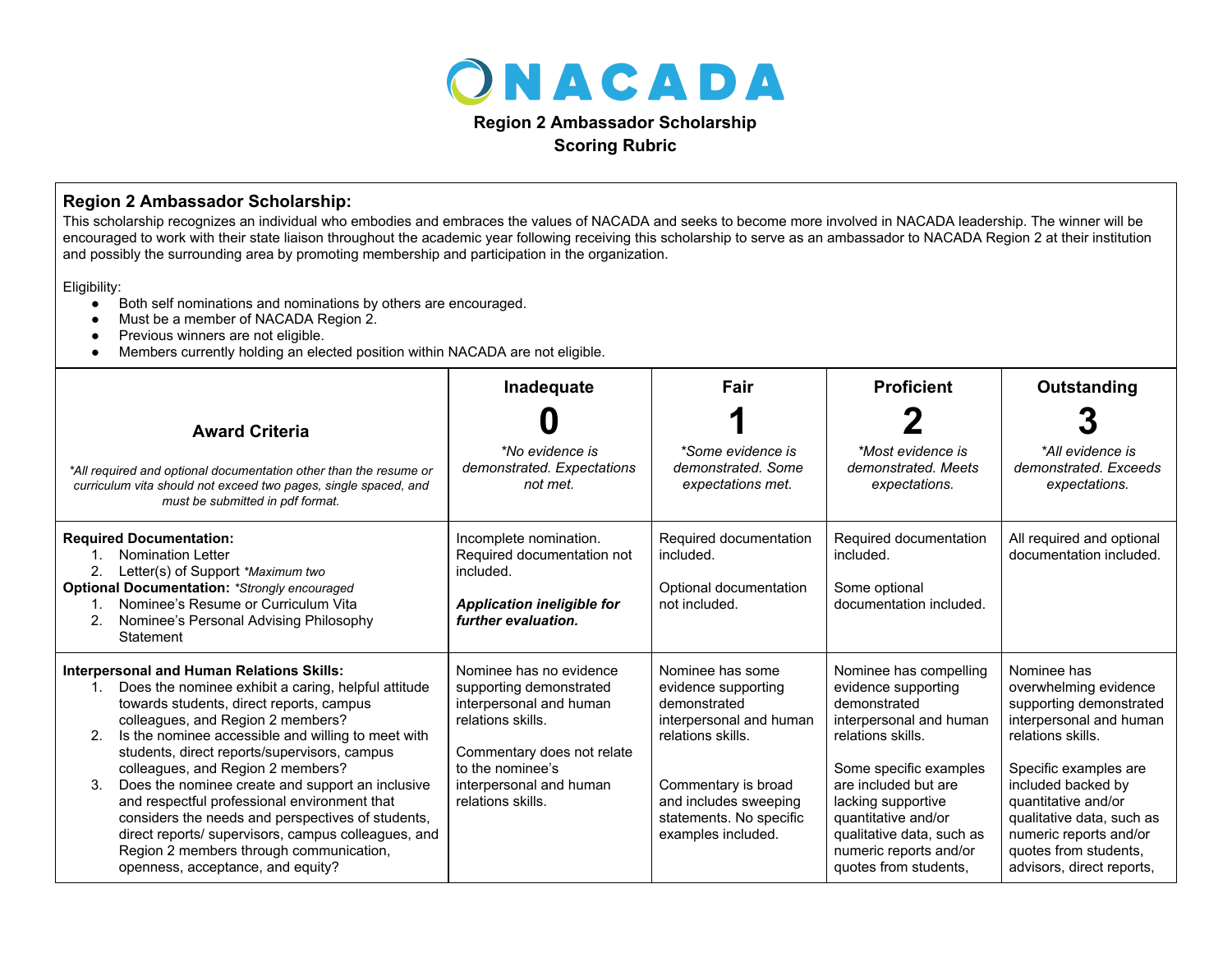

**Scoring Rubric**

## **Region 2 Ambassador Scholarship:**

This scholarship recognizes an individual who embodies and embraces the values of NACADA and seeks to become more involved in NACADA leadership. The winner will be encouraged to work with their state liaison throughout the academic year following receiving this scholarship to serve as an ambassador to NACADA Region 2 at their institution and possibly the surrounding area by promoting membership and participation in the organization.

Eligibility:

- Both self nominations and nominations by others are encouraged.
- Must be a member of NACADA Region 2.
- Previous winners are not eligible.
- Members currently holding an elected position within NACADA are not eligible.

|                                                                                                                                                                                                                                                                                                                                                                                                                                                                                                                                                                                                                                                 | Inadequate                                                                                                                                                                                           | Fair                                                                                                                                                                                                     | <b>Proficient</b>                                                                                                                                                                                                                                                                            | Outstanding                                                                                                                                                                                                                                                                                        |
|-------------------------------------------------------------------------------------------------------------------------------------------------------------------------------------------------------------------------------------------------------------------------------------------------------------------------------------------------------------------------------------------------------------------------------------------------------------------------------------------------------------------------------------------------------------------------------------------------------------------------------------------------|------------------------------------------------------------------------------------------------------------------------------------------------------------------------------------------------------|----------------------------------------------------------------------------------------------------------------------------------------------------------------------------------------------------------|----------------------------------------------------------------------------------------------------------------------------------------------------------------------------------------------------------------------------------------------------------------------------------------------|----------------------------------------------------------------------------------------------------------------------------------------------------------------------------------------------------------------------------------------------------------------------------------------------------|
| <b>Award Criteria</b><br>*All required and optional documentation other than the resume or<br>curriculum vita should not exceed two pages, single spaced, and<br>must be submitted in pdf format.                                                                                                                                                                                                                                                                                                                                                                                                                                               | *No evidence is<br>demonstrated. Expectations<br>not met.                                                                                                                                            | *Some evidence is<br>demonstrated. Some<br>expectations met.                                                                                                                                             | *Most evidence is<br>demonstrated. Meets<br>expectations.                                                                                                                                                                                                                                    | *All evidence is<br>demonstrated, Exceeds<br>expectations.                                                                                                                                                                                                                                         |
| <b>Required Documentation:</b><br><b>Nomination Letter</b><br>2.<br>Letter(s) of Support *Maximum two<br><b>Optional Documentation: *Strongly encouraged</b><br>Nominee's Resume or Curriculum Vita<br>1.<br>2.<br>Nominee's Personal Advising Philosophy<br><b>Statement</b>                                                                                                                                                                                                                                                                                                                                                                   | Incomplete nomination.<br>Required documentation not<br>included.<br><b>Application ineligible for</b><br>further evaluation.                                                                        | Required documentation<br>included.<br>Optional documentation<br>not included.                                                                                                                           | Required documentation<br>included.<br>Some optional<br>documentation included.                                                                                                                                                                                                              | All required and optional<br>documentation included.                                                                                                                                                                                                                                               |
| <b>Interpersonal and Human Relations Skills:</b><br>Does the nominee exhibit a caring, helpful attitude<br>1.<br>towards students, direct reports, campus<br>colleagues, and Region 2 members?<br>Is the nominee accessible and willing to meet with<br>students, direct reports/supervisors, campus<br>colleagues, and Region 2 members?<br>3.<br>Does the nominee create and support an inclusive<br>and respectful professional environment that<br>considers the needs and perspectives of students,<br>direct reports/ supervisors, campus colleagues, and<br>Region 2 members through communication,<br>openness, acceptance, and equity? | Nominee has no evidence<br>supporting demonstrated<br>interpersonal and human<br>relations skills.<br>Commentary does not relate<br>to the nominee's<br>interpersonal and human<br>relations skills. | Nominee has some<br>evidence supporting<br>demonstrated<br>interpersonal and human<br>relations skills.<br>Commentary is broad<br>and includes sweeping<br>statements. No specific<br>examples included. | Nominee has compelling<br>evidence supporting<br>demonstrated<br>interpersonal and human<br>relations skills.<br>Some specific examples<br>are included but are<br>lacking supportive<br>quantitative and/or<br>qualitative data, such as<br>numeric reports and/or<br>quotes from students, | Nominee has<br>overwhelming evidence<br>supporting demonstrated<br>interpersonal and human<br>relations skills.<br>Specific examples are<br>included backed by<br>quantitative and/or<br>qualitative data, such as<br>numeric reports and/or<br>quotes from students,<br>advisors, direct reports, |